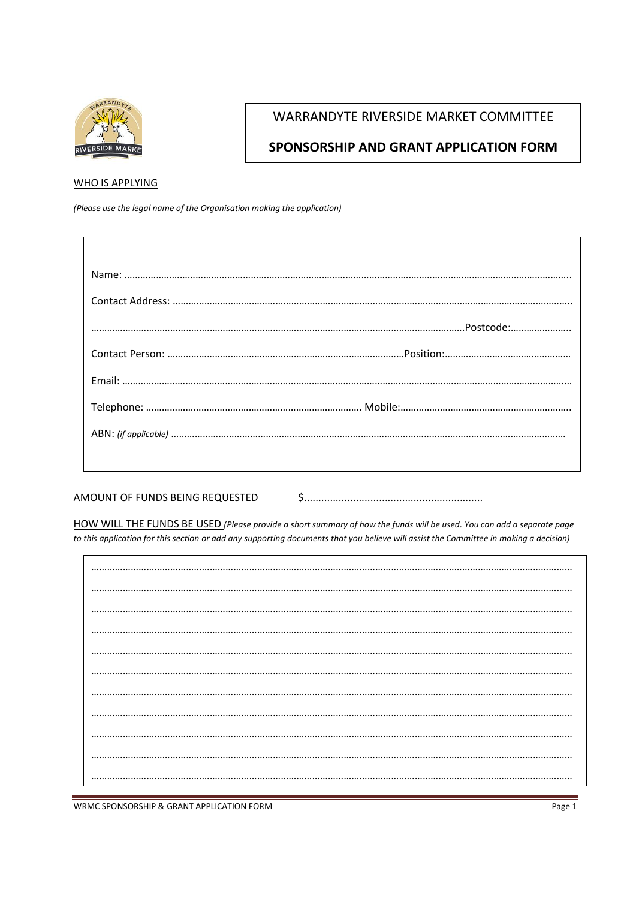

## **WARRANDYTE RIVERSIDE MARKET COMMITTEE**

## SPONSORSHIP AND GRANT APPLICATION FORM

## **WHO IS APPLYING**

(Please use the legal name of the Organisation making the application)

AMOUNT OF FUNDS BEING REQUESTED 

HOW WILL THE FUNDS BE USED (Please provide a short summary of how the funds will be used. You can add a separate page to this application for this section or add any supporting documents that you believe will assist the Committee in making a decision)

 $......$ 

WRMC SPONSORSHIP & GRANT APPLICATION FORM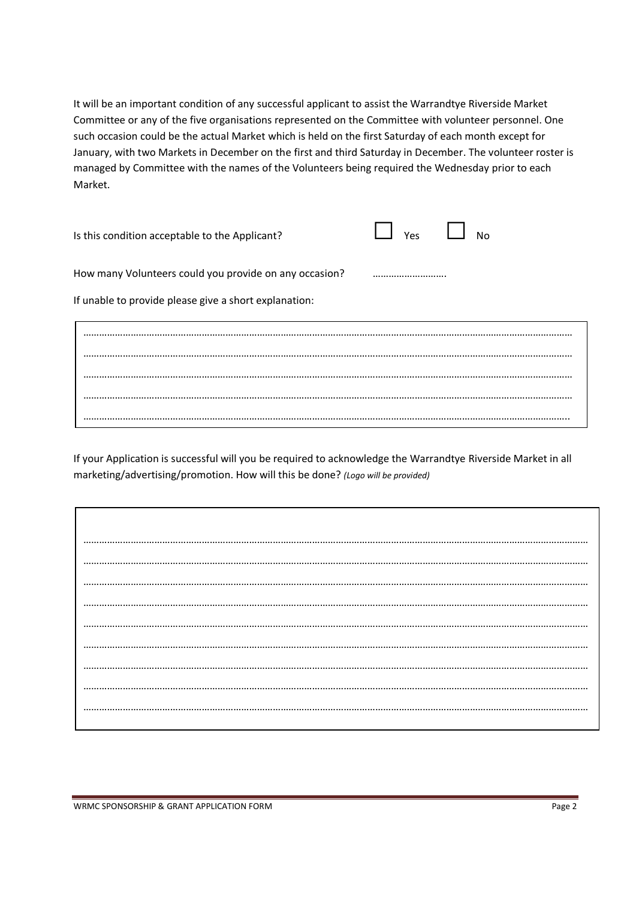It will be an important condition of any successful applicant to assist the Warrandtye Riverside Market Committee or any of the five organisations represented on the Committee with volunteer personnel. One such occasion could be the actual Market which is held on the first Saturday of each month except for January, with two Markets in December on the first and third Saturday in December. The volunteer roster is managed by Committee with the names of the Volunteers being required the Wednesday prior to each Market.

| Is this condition acceptable to the Applicant?         | $\Box$ Yes $\Box$ No |  |
|--------------------------------------------------------|----------------------|--|
| How many Volunteers could you provide on any occasion? |                      |  |

If unable to provide please give a short explanation:

…………………………………………………………………………………………………………………………………………………………………… …………………………………………………………………………………………………………………………………………………………………… …………………………………………………………………………………………………………………………………………………………………… …………………………………………………………………………………………………………………………………………………………………… …………………………………………………………………………………………………………………………………………………………………..

If your Application is successful will you be required to acknowledge the Warrandtye Riverside Market in all marketing/advertising/promotion. How will this be done? *(Logo will be provided)*

………………………………………………………………………………………………………………………………………………………………………… ………………………………………………………………………………………………………………………………………………………………………… ………………………………………………………………………………………………………………………………………………………………………… ………………………………………………………………………………………………………………………………………………………………………… ………………………………………………………………………………………………………………………………………………………………………… ………………………………………………………………………………………………………………………………………………………………………… ………………………………………………………………………………………………………………………………………………………………………… ………………………………………………………………………………………………………………………………………………………………………… ………………………………………………………………………………………………………………………………………………………………………… …………………………………………………………………………………………………………………………………………………………………………